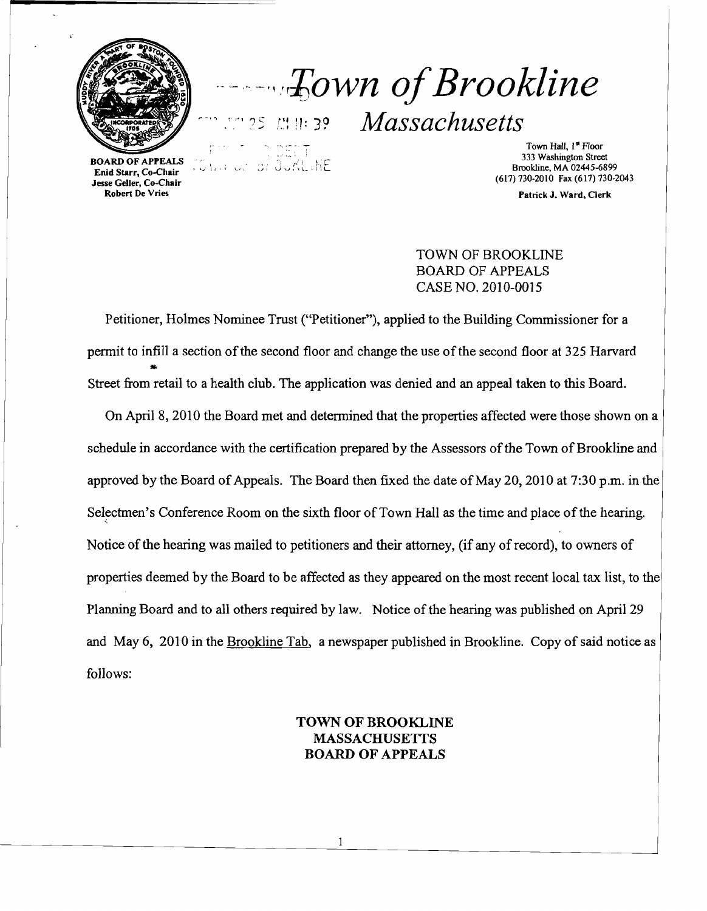

*--··\_·,::I;own ofBrookline r-"* ""!<sup>5</sup>/.'~!l: 3? *Massachusetts* 

BOARD OF APPEALS Enid Starr, Co-Chair Jesse Geller, Co-Chair Robert De Vries

Town Hall, 1<sup>st</sup> Floor 333 Washington Street Brookline, MA 02445-6899 (617) 730-2010 Fax (617) 730-2043

Patrick J. Ward, Clerk

# TOWN OF BROOKLINE BOARD OF APPEALS CASE NO. 2010-0015

Petitioner, Holmes Nominee Trust ("Petitioner"), applied to the Building Commissioner for a permit to infill a section of the second floor and change the use of the second floor at 325 Harvard Street from retail to a health club. The application was denied and an appeal taken to this Board.

On April 8, 2010 the Board met and determined that the properties affected were those shown on a schedule in accordance with the certification prepared by the Assessors of the Town of Brookline and approved by the Board of Appeals. The Board then fixed the date of May 20, 2010 at 7:30 p.m. in the Selectmen's Conference Room on the sixth floor of Town Hall as the time and place of the hearing. Notice of the hearing was mailed to petitioners and their attorney, (if any of record), to owners of properties deemed by the Board to be affected as they appeared on the most recent local tax list, to the Planning Board and to all others required by law. Notice of the hearing was published on April 29 and May 6, 2010 in the Brookline Tab, a newspaper published in Brookline. Copy of said notice as follows:

# TOWN OF BROOKLINE MASSACHUSETTS BOARD OF APPEALS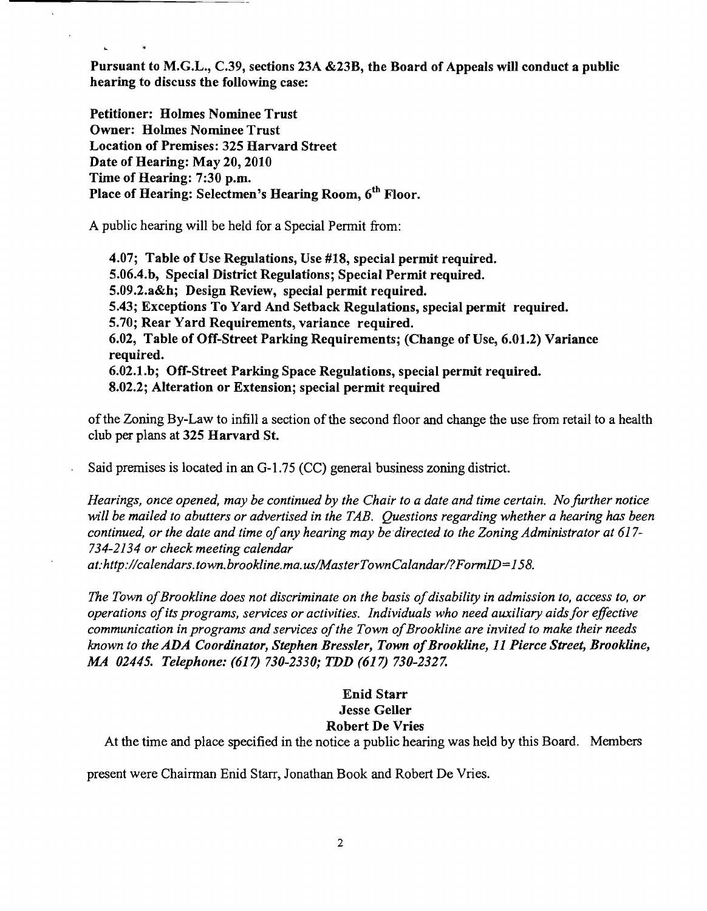Pursuant to M.G.L., C.39, sections 23A &23B, the Board of Appeals will conduct a public hearing to discuss the following case:

Petitioner: Holmes Nominee Trust Owner: Holmes Nominee Trust Location of Premises: 325 Harvard Street Date of Hearing: May 20,2010 Time of Hearing: 7:30 p.m. Place of Hearing: Selectmen's Hearing Room, 6<sup>th</sup> Floor.

 $\mathbf{L}$ 

A public hearing will be held for a Special Permit from:

4.07; Table of Use Regulations, Use #18, special permit required. 5.06.4.b, Special District Regulations; Special Permit required. 5.09.2.a&h; Design Review, special permit required. 5.43; Exceptions To Yard And Setback Regulations, special permit required. 5.70; Rear Yard Requirements, variance required. 6.02, Table of Off-Street Parking Requirements; (Change of Use, 6.01.2) Variance required. 6.02.l.b; Off-Street Parking Space Regulations, special permit required. 8.02.2; Alteration or Extension; special permit required

of the Zoning By-Law to infill a section of the second floor and change the use from retail to a health club per plans at 325 Harvard S1.

Said premises is located in an G-1.75 (CC) general business zoning district.

*Hearings, once opened, may be continued by the Chair to a date and time certain. No further notice will be mailed to abutters or advertised in the TAB. Questions regarding whether a hearing has been continued, or the date and time of any hearing may be directed to the Zoning Administrator at 617-734-2134 or check meeting calendar* 

*at:http://calendars. town. brookline.ma. uslMasterTownCalandar/?FormID=158.* 

The Town of Brookline does not discriminate on the basis of disability in admission to, access to, or *operations ofits programs, services or activities. Individuals who need auxiliary aidsfor effective communication in programs and services ofthe Town ofBrookline are invited to make their needs known to the ADA Coordinator, Stephen Bressler, Town ofBrookline, I1 Pierce Street, Brookline, MA 02445. Telephone:* (617) *730-2330; TDD* (617) *730-2327.* 

## Enid Starr Jesse Geller Robert De Vries

At the time and place specified in the notice a public hearing was held by this Board. Members

present were Chairman Enid Starr, Jonathan Book and Robert De Vries.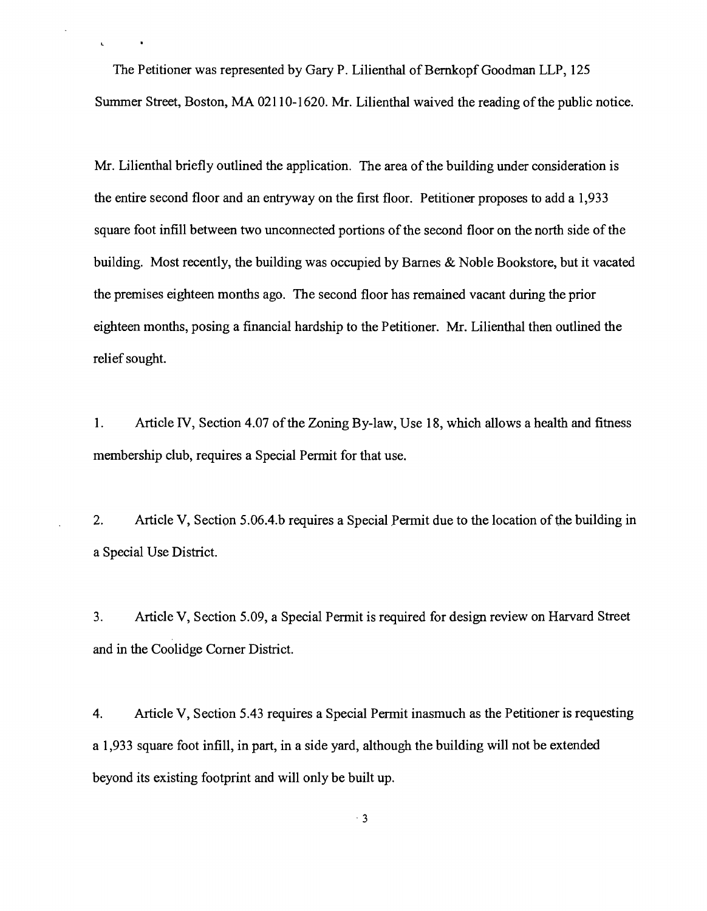The Petitioner was represented by Gary P. Lilienthal of Bernkopf Goodman LLP, 125 Summer Street, Boston, MA 02110-1620. Mr. Lilienthal waived the reading ofthe public notice.

 $\mathbf{r}$ 

Mr. Lilienthal briefly outlined the application. The area of the building under consideration is the entire second floor and an entryway on the first floor. Petitioner proposes to add a 1,933 square foot infill between two unconnected portions of the second floor on the north side of the building. Most recently, the building was occupied by Barnes & Noble Bookstore, but it vacated the premises eighteen months ago. The second floor has remained vacant during the prior eighteen months, posing a financial hardship to the Petitioner. Mr. Lilienthal then outlined the relief sought.

1. Article IV, Section 4.07 of the Zoning By-law, Use 18, which allows a health and fitness membership club, requires a Special Permit for that use.

2. Article V, Section 5.06.4.b requires a Special Permit due to the location of the building in a Special Use District.

3. Article V, Section 5.09, a Special Permit is required for design review on Harvard Street and in the Coolidge Corner District.

4. Article V, Section 5.43 requires a Special Permit inasmuch as the Petitioner is requesting a 1,933 square foot infill, in part, in a side yard, although the building will not be extended beyond its existing footprint and will only be built up.

 $\cdot$  3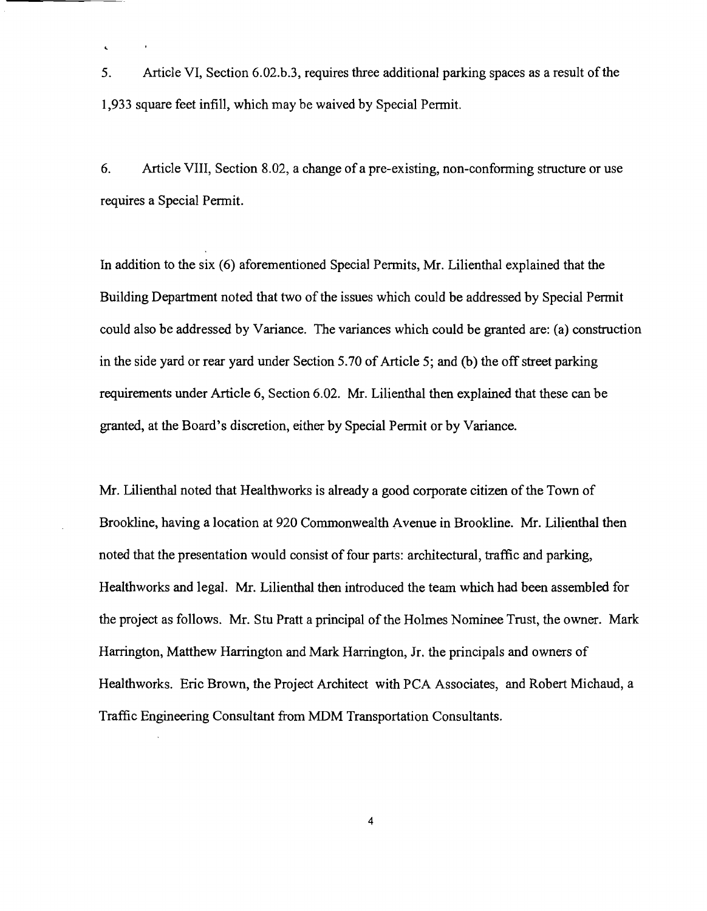5. Article VI, Section 6.02.b.3, requires three additional parking spaces as a result of the 1,933 square feet infill, which may be waived by Special Permit.

 $\ddot{\phantom{a}}$ 

6. Article VIII, Section 8.02, a change of a pre-existing, non-conforming structure or use requires a Special Permit.

In addition to the six (6) aforementioned Special Permits, Mr. Lilienthal explained that the Building Department noted that two of the issues which could be addressed by Special Permit could also be addressed by Variance. The variances which could be granted are: (a) construction in the side yard or rear yard under Section 5.70 of Article 5; and (b) the off street parking requirements under Article 6, Section 6.02. Mr. Lilienthal then explained that these can be granted, at the Board's discretion, either by Special Permit or by Variance.

Mr. Lilienthal noted that Healthworks is already a good corporate citizen of the Town of Brookline, having a location at 920 Commonwealth Avenue in Brookline. Mr. Lilienthal then noted that the presentation would consist of four parts: architectural, traffic and parking, Healthworks and legal. Mr. Lilienthal then introduced the team which had been assembled for the project as follows. Mr. Stu Pratt a principal of the Holmes Nominee Trust, the owner. Mark Harrington, Matthew Harrington and Mark Harrington, Jr. the principals and owners of Healthworks. Eric Brown, the Project Architect with PCA Associates, and Robert Michaud, a Traffic Engineering Consultant from MDM Transportation Consultants.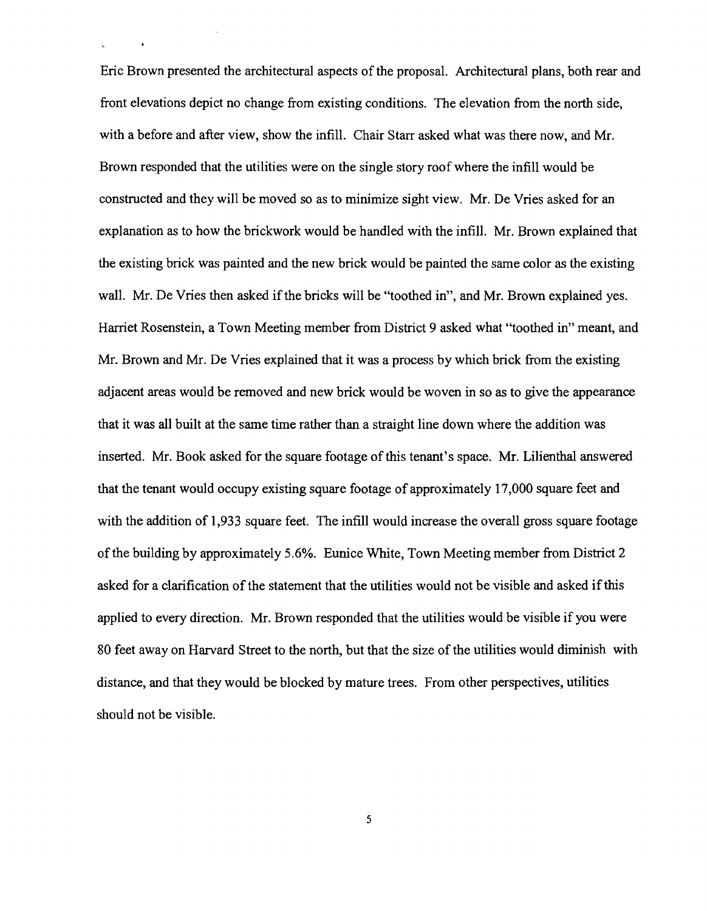Eric Brown presented the architectural aspects of the proposal. Architectural plans, both rear and front elevations depict no change from existing conditions. The elevation from the north side, with a before and after view, show the infill. Chair Starr asked what was there now, and Mr. Brown responded that the utilities were on the single story roof where the infill would be constructed and they will be moved so as to minimize sight view. Mr. De Vries asked for an explanation as to how the brickwork would be handled with the infill. Mr. Brown explained that the existing brick was painted and the new brick would be painted the same color as the existing wall. Mr. De Vries then asked if the bricks will be "toothed in", and Mr. Brown explained yes. Harriet Rosenstein, a Town Meeting member from District 9 asked what "toothed in" meant, and Mr. Brown and Mr. De Vries explained that it was a process by which brick from the existing adjacent areas would be removed and new brick would be woven in so as to give the appearance that it was all built at the same time rather than a straight line down where the addition was inserted. Mr. Book asked for the square footage of this tenant's space. Mr. Lilienthal answered that the tenant would occupy existing square footage of approximately 17,000 square feet and with the addition of 1,933 square feet. The infill would increase the overall gross square footage of the building by approximately 5.6%. Eunice White, Town Meeting member from District 2 asked for a clarification ofthe statement that the utilities would not be visible and asked ifthis applied to every direction. Mr. Brown responded that the utilities would be visible if you were 80 feet away on Harvard Street to the north, but that the size of the utilities would diminish with distance, and that they would be blocked by mature trees. From other perspectives, utilities should not be visible.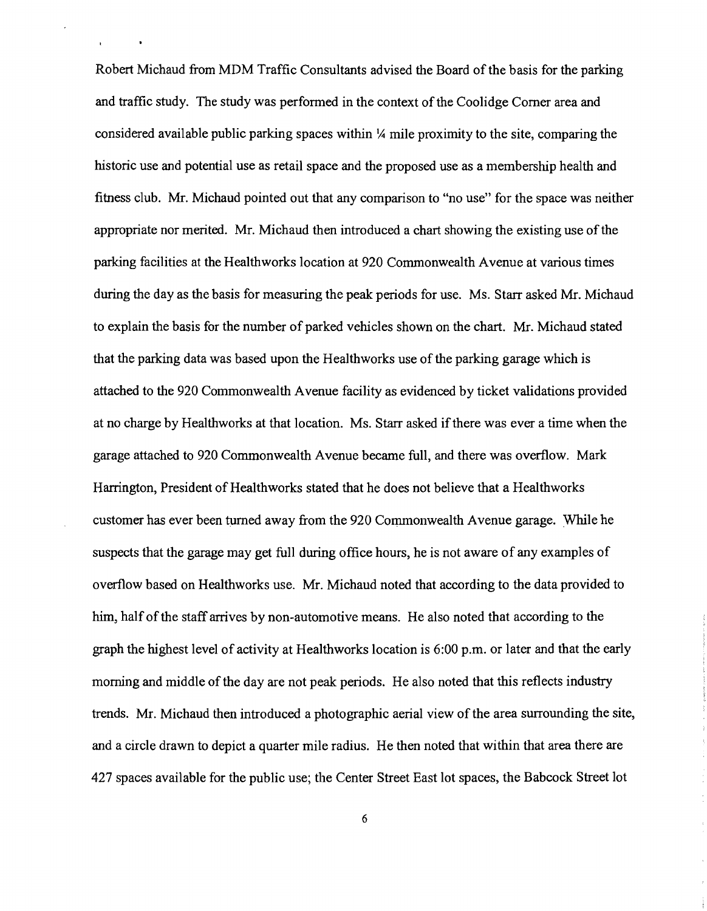Robert Michaud from MDM Traffic Consultants advised the Board of the basis for the parking and traffic study. The study was performed in the context of the Coolidge Corner area and considered available public parking spaces within  $\frac{1}{4}$  mile proximity to the site, comparing the historic use and potential use as retail space and the proposed use as a membership health and fitness club. Mr. Michaud pointed out that any comparison to "no use" for the space was neither appropriate nor merited. Mr. Michaud then introduced a chart showing the existing use ofthe parking facilities at the Healthworks location at 920 Commonwealth Avenue at various times during the day as the basis for measuring the peak periods for use. Ms. Starr asked Mr. Michaud to explain the basis for the number of parked vehicles shown on the chart. Mr. Michaud stated that the parking data was based upon the Healthworks use of the parking garage which is attached to the 920 Commonwealth Avenue facility as evidenced by ticket validations provided at no charge by Healthworks at that location. Ms. Starr asked ifthere was ever a time when the garage attached to 920 Commonwealth Avenue became full, and there was overflow. Mark Harrington, President of Healthworks stated that he does not believe that a Healthworks customer has ever been turned away from the 920 Commonwealth Avenue garage. While he suspects that the garage may get full during office hours, he is not aware of any examples of overflow based on Healthworks use. Mr. Michaud noted that according to the data provided to him, half of the staff arrives by non-automotive means. He also noted that according to the graph the highest level of activity at Healthworks location is 6:00 p.m. or later and that the early morning and middle of the day are not peak periods. He also noted that this reflects industry trends. Mr. Michaud then introduced a photographic aerial view of the area surrounding the site, and a circle drawn to depict a quarter mile radius. He then noted that within that area there are 427 spaces available for the public use; the Center Street East lot spaces, the Babcock Street lot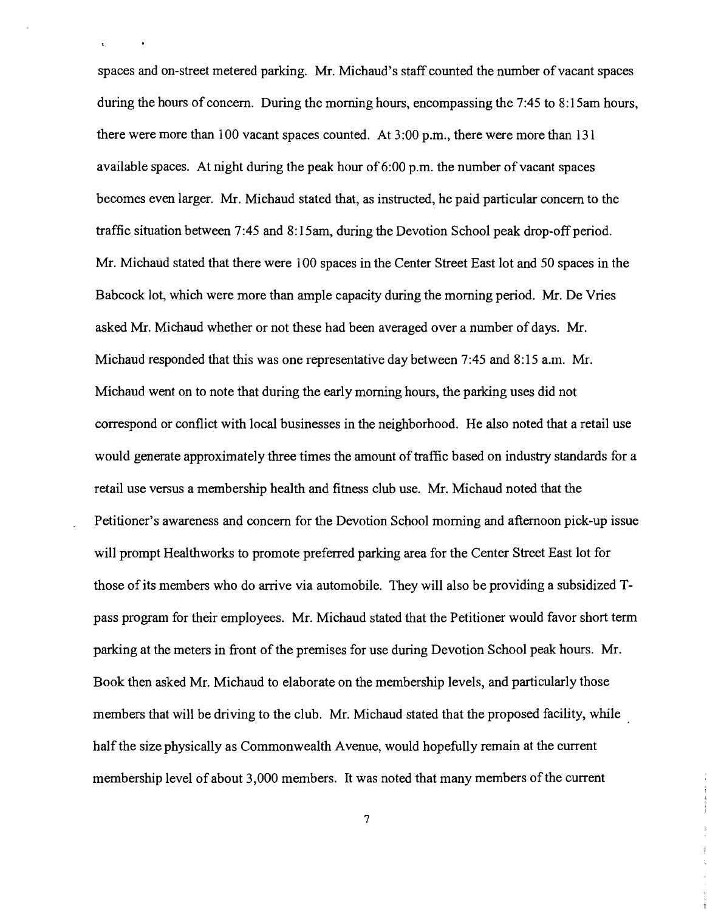spaces and on-street metered parking. Mr. Michaud's staff counted the number of vacant spaces during the hours of concern. During the morning hours, encompassing the 7:45 to 8:15am hours, there were more than 100 vacant spaces counted. At 3:00 p.m., there were more than 131 available spaces. At night during the peak hour of  $6:00$  p.m. the number of vacant spaces becomes even larger. Mr. Michaud stated that, as instructed, he paid particular concern to the traffic situation between 7:45 and 8: 15am, during the Devotion School peak drop-off period. Mr. Michaud stated that there were 100 spaces in the Center Street East lot and 50 spaces in the Babcock lot, which were more than ample capacity during the morning period. Mr. De Vries asked Mr. Michaud whether or not these had been averaged over a number of days. Mr. Michaud responded that this was one representative day between 7:45 and 8:15 a.m. Mr. Michaud went on to note that during the early morning hours, the parking uses did not correspond or conflict with local businesses in the neighborhood. He also noted that a retail use would generate approximately three times the amount of traffic based on industry standards for a retail use versus a membership health and fitness club use. Mr. Michaud noted that the Petitioner's awareness and concern for the Devotion School morning and afternoon pick-up issue will prompt Healthworks to promote preferred parking area for the Center Street East lot for those of its members who do arrive via automobile. They will also be providing a subsidized Tpass program for their employees. Mr. Michaud stated that the Petitioner would favor short term parking at the meters in front of the premises for use during Devotion School peak hours. Mr. Book then asked Mr. Michaud to elaborate on the membership levels, and particularly those members that will be driving to the club. Mr. Michaud stated that the proposed facility, while half the size physically as Commonwealth Avenue, would hopefully remain at the current membership level of about 3,000 members. It was noted that many members of the current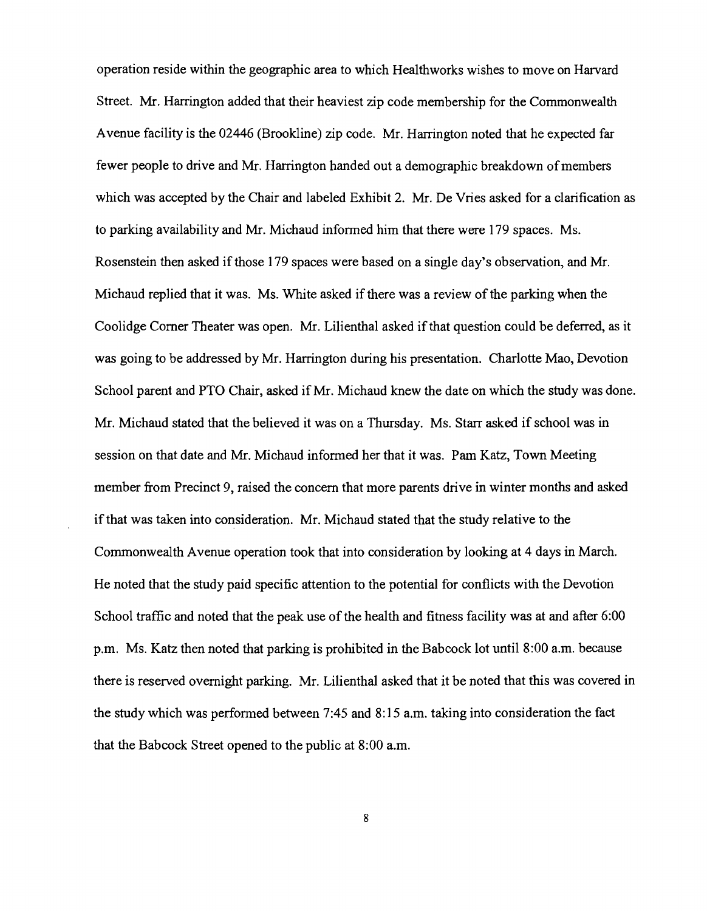operation reside within the geographic area to which Healthworks wishes to move on Harvard Street. Mr. Harrington added that their heaviest zip code membership for the Commonwealth Avenue facility is the 02446 (Brookline) zip code. Mr. Harrington noted that he expected far fewer people to drive and Mr. Harrington handed out a demographic breakdown of members which was accepted by the Chair and labeled Exhibit 2. Mr. De Vries asked for a clarification as to parking availability and Mr. Michaud informed him that there were 179 spaces. Ms. Rosenstein then asked if those 179 spaces were based on a single day's observation, and Mr. Michaud replied that it was. Ms. White asked if there was a review of the parking when the Coolidge Comer Theater was open. Mr. Lilienthal asked if that question could be deferred, as it was going to be addressed by Mr. Harrington during his presentation. Charlotte Mao, Devotion School parent and PTO Chair, asked if Mr. Michaud knew the date on which the study was done. Mr. Michaud stated that the believed it was on a Thursday. Ms. Starr asked if school was in session on that date and Mr. Michaud informed her that it was. Pam Katz, Town Meeting member from Precinct 9, raised the concern that more parents drive in winter months and asked ifthat was taken into consideration. Mr. Michaud stated that the study relative to the Commonwealth Avenue operation took that into consideration by looking at 4 days in March. He noted that the study paid specific attention to the potential for conflicts with the Devotion School traffic and noted that the peak use of the health and fitness facility was at and after 6:00 p.m. Ms. Katz then noted that parking is prohibited in the Babcock lot until 8:00 a.m. because there is reserved overnight parking. Mr. Lilienthal asked that it be noted that this was covered in the study which was performed between 7:45 and 8: 15 a.m. taking into consideration the fact that the Babcock Street opened to the public at 8:00 a.m.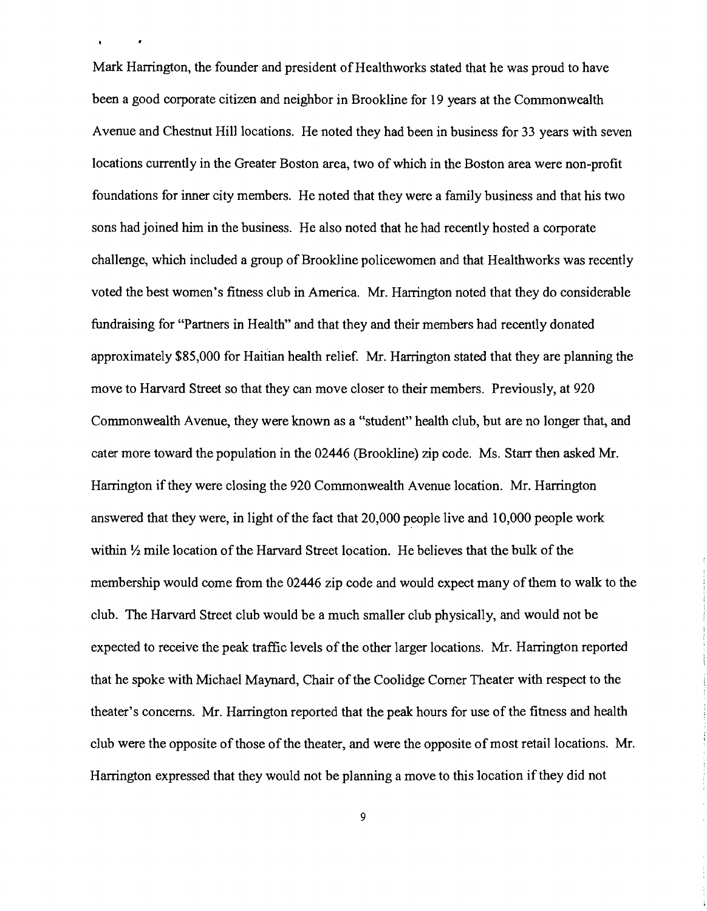Mark Harrington, the founder and president of Healthworks stated that he was proud to have been a good corporate citizen and neighbor in Brookline for 19 years at the Commonwealth Avenue and Chestnut Hill locations. He noted they had been in business for 33 years with seven locations currently in the Greater Boston area, two of which in the Boston area were non-profit foundations for inner city members. He noted that they were a family business and that his two sons had joined him in the business. He also noted that he had recently hosted a corporate challenge, which included a group of Brookline policewomen and that Healthworks was recently voted the best women's fitness club in America. Mr. Harrington noted that they do considerable fundraising for "Partners in Health" and that they and their members had recently donated approximately \$85,000 for Haitian health relief. Mr. Harrington stated that they are planning the move to Harvard Street so that they can move closer to their members. Previously, at 920 Commonwealth Avenue, they were known as a "student" health club, but are no longer that, and cater more toward the population in the 02446 (Brookline) zip code. Ms. Starr then asked Mr. Harrington ifthey were closing the 920 Commonwealth Avenue location. Mr. Harrington answered that they were, in light of the fact that 20,000 people live and 10,000 people work within  $\frac{1}{2}$  mile location of the Harvard Street location. He believes that the bulk of the membership would come from the 02446 zip code and would expect many of them to walk to the club. The Harvard Street club would be a much smaller club physically, and would not be expected to receive the peak traffic levels of the other larger locations. Mr. Harrington reported that he spoke with Michael Maynard, Chair of the Coolidge Corner Theater with respect to the theater's concerns. Mr. Harrington reported that the peak hours for use of the fitness and health club were the opposite of those of the theater, and were the opposite of most retail locations. Mr. Harrington expressed that they would not be planning a move to this location if they did not

 $\ddot{\phantom{a}}$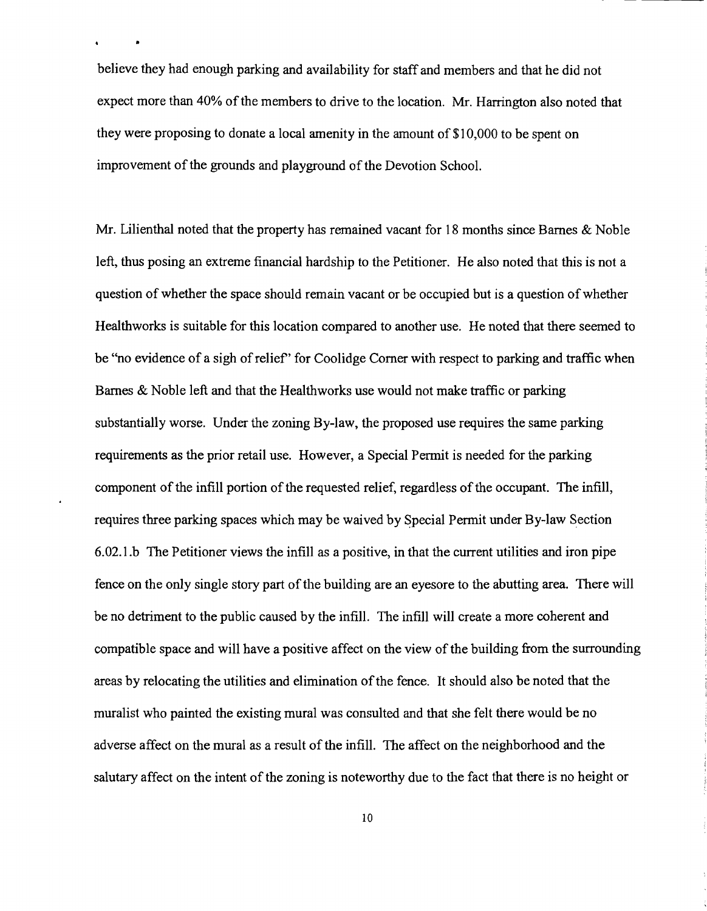believe they had enough parking and availability for staff and members and that he did not expect more than 40% of the members to drive to the location. Mr. Harrington also noted that they were proposing to donate a local amenity in the amount of \$1 0,000 to be spent on improvement of the grounds and playground of the Devotion School.

•

Mr. Lilienthal noted that the property has remained vacant for 18 months since Barnes & Noble left, thus posing an extreme financial hardship to the Petitioner. He also noted that this is not a question of whether the space should remain vacant or be occupied but is a question of whether Healthworks is suitable for this location compared to another use. He noted that there seemed to be "no evidence of a sigh of relief" for Coolidge Corner with respect to parking and traffic when Barnes & Noble left and that the Healthworks use would not make traffic or parking substantially worse. Under the zoning By-law, the proposed use requires the same parking requirements as the prior retail use. However, a Special Permit is needed for the parking component of the infill portion of the requested relief, regardless of the occupant. The infill, requires three parking spaces which may be waived by Special Permit under By-law Section 6.02.l.b The Petitioner views the infill as a positive, in that the current utilities and iron pipe fence on the only single story part of the building are an eyesore to the abutting area. There will be no detriment to the public caused by the infill. The infill will create a more coherent and compatible space and will have a positive affect on the view of the building from the surrounding areas by relocating the utilities and elimination of the fence. It should also be noted that the muralist who painted the existing mural was consulted and that she felt there would be no adverse affect on the mural as a result of the infill. The affect on the neighborhood and the salutary affect on the intent of the zoning is noteworthy due to the fact that there is no height or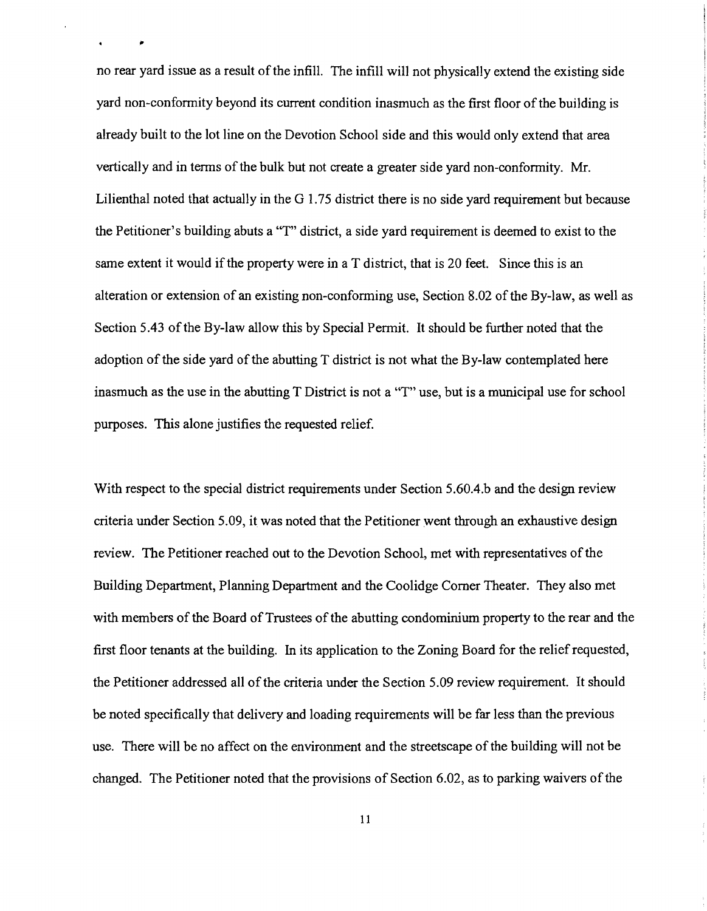no rear yard issue as a result of the infill. The infill will not physically extend the existing side yard non-conformity beyond its current condition inasmuch as the first floor of the building is already built to the lot line on the Devotion School side and this would only extend that area vertically and in terms of the bulk but not create a greater side yard non-conformity. Mr. Lilienthal noted that actually in the G 1.75 district there is no side yard requirement but because the Petitioner's building abuts a "T" district, a side yard requirement is deemed to exist to the same extent it would if the property were in a T district, that is 20 feet. Since this is an alteration or extension of an existing non-conforming use, Section 8.02 of the By-law, as well as Section 5.43 of the By-law allow this by Special Permit. It should be further noted that the adoption of the side yard of the abutting T district is not what the By-law contemplated here inasmuch as the use in the abutting T District is not a "T" use, but is a municipal use for school purposes. This alone justifies the requested relief.

With respect to the special district requirements under Section *5.60A.b* and the design review criteria under Section 5.09, it was noted that the Petitioner went through an exhaustive design review. The Petitioner reached out to the Devotion School, met with representatives of the Building Department, Planning Department and the Coolidge Comer Theater. They also met with members of the Board of Trustees of the abutting condominium property to the rear and the first floor tenants at the building. In its application to the Zoning Board for the relief requested, the Petitioner addressed all of the criteria under the Section 5.09 review requirement. It should be noted specifically that delivery and loading requirements will be far less than the previous use. There will be no affect on the environment and the streetscape of the building will not be changed. The Petitioner noted that the provisions of Section 6.02, as to parking waivers of the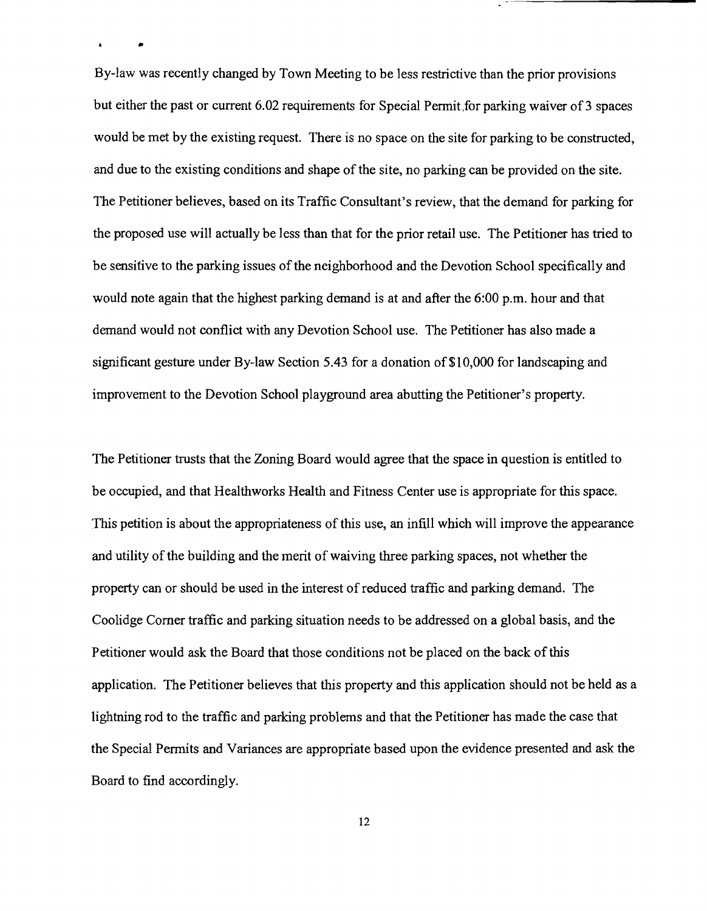By-law was recently changed by Town Meeting to be less restrictive than the prior provisions but either the past or current 6.02 requirements for Special Permit for parking waiver of 3 spaces would be met by the existing request. There is no space on the site for parking to be constructed, and due to the existing conditions and shape of the site, no parking can be provided on the site. The Petitioner believes, based on its Traffic Consultant's review, that the demand for parking for the proposed use will actually be less than that for the prior retail use. The Petitioner has tried to be sensitive to the parking issues of the neighborhood and the Devotion School specifically and would note again that the highest parking demand is at and after the 6:00 p.m. hour and that demand would not conflict with any Devotion School use. The Petitioner has also made a significant gesture under By-law Section 5.43 for a donation of \$1 0,000 for landscaping and improvement to the Devotion School playground area abutting the Petitioner's property.

•

The Petitioner trusts that the Zoning Board would agree that the space in question is entitled to be occupied, and that Healthworks Health and Fitness Center use is appropriate for this space. This petition is about the appropriateness of this use, an infill which will improve the appearance and utility of the building and the merit of waiving three parking spaces, not whether the property can or should be used in the interest of reduced traffic and parking demand. The Coolidge Comer traffic and parking situation needs to be addressed on a global basis, and the Petitioner would ask the Board that those conditions not be placed on the back of this application. The Petitioner believes that this property and this application should not be held as a lightning rod to the traffic and parking problems and that the Petitioner has made the case that the Special Permits and Variances are appropriate based upon the evidence presented and ask the Board to find accordingly.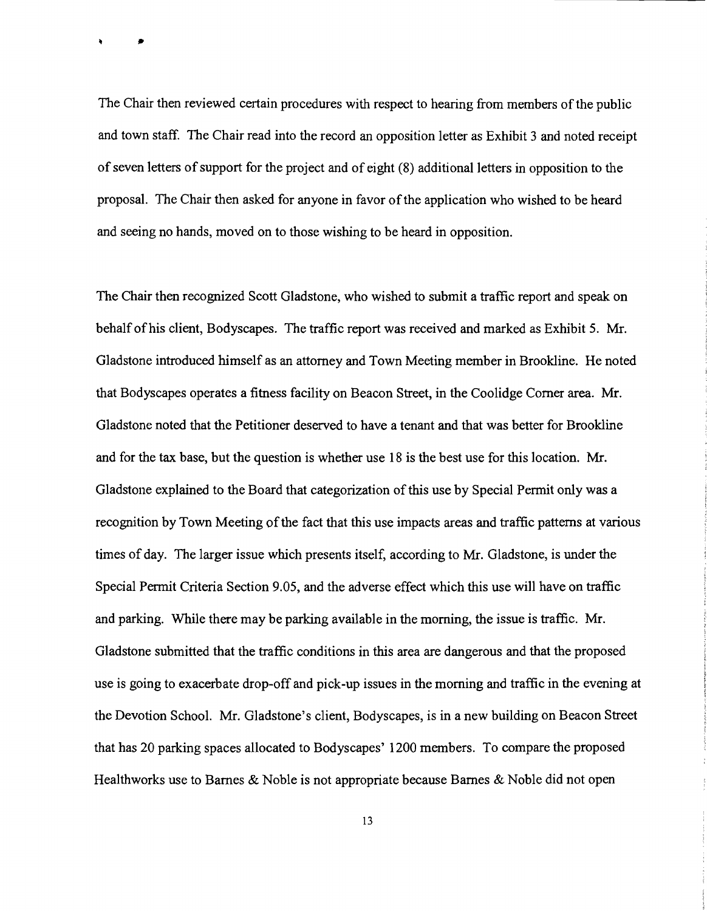The Chair then reviewed certain procedures with respect to hearing from members of the public and town staff. The Chair read into the record an opposition letter as Exhibit 3 and noted receipt of seven letters of support for the project and of eight (8) additional letters in opposition to the proposal. The Chair then asked for anyone in favor ofthe application who wished to be heard and seeing no hands, moved on to those wishing to be heard in opposition.

 $\ddot{\phantom{1}}$ 

The Chair then recognized Scott Gladstone, who wished to submit a traffic report and speak on behalf ofhis client, Bodyscapes. The traffic report was received and marked as Exhibit 5. Mr. Gladstone introduced himself as an attorney and Town Meeting member in Brookline. He noted that Bodyscapes operates a fitness facility on Beacon Street, in the Coolidge Comer area. Mr. Gladstone noted that the Petitioner deserved to have a tenant and that was better for Brookline and for the tax base, but the question is whether use 18 is the best use for this location. Mr. Gladstone explained to the Board that categorization of this use by Special Permit only was a recognition by Town Meeting of the fact that this use impacts areas and traffic patterns at various times of day. The larger issue which presents itself, according to Mr. Gladstone, is under the Special Permit Criteria Section 9.05, and the adverse effect which this use will have on traffic and parking. While there may be parking available in the morning, the issue is traffic. Mr. Gladstone submitted that the traffic conditions in this area are dangerous and that the proposed use is going to exacerbate drop-off and pick-up issues in the morning and traffic in the evening at the Devotion School. Mr. Gladstone's client, Bodyscapes, is in a new building on Beacon Street that has 20 parking spaces allocated to Bodyscapes' 1200 members. To compare the proposed Healthworks use to Barnes & Noble is not appropriate because Barnes & Noble did not open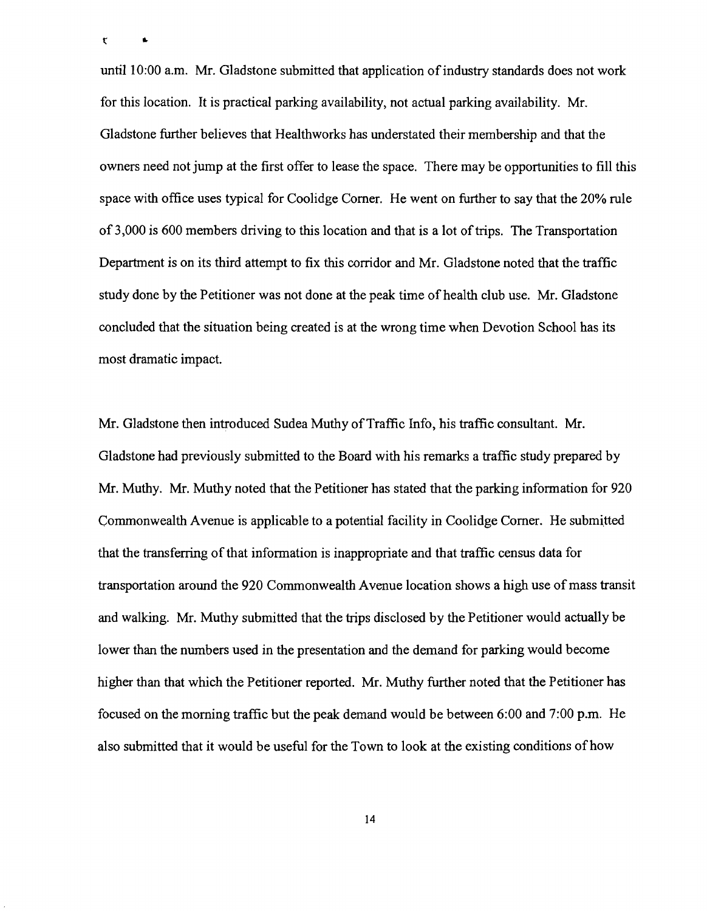$\mathfrak{r}$ 

 $\pmb{\ast}$ 

until 10:00 a.m. Mr. Gladstone submitted that application of industry standards does not work for this location. It is practical parking availability, not actual parking availability. Mr. Gladstone further believes that Healthworks has understated their membership and that the owners need not jump at the first offer to lease the space. There may be opportunities to fill this space with office uses typical for Coolidge Comer. He went on further to say that the 20% rule of 3,000 is 600 members driving to this location and that is a lot of trips. The Transportation Department is on its third attempt to fix this corridor and Mr. Gladstone noted that the traffic study done by the Petitioner was not done at the peak time of health club use. Mr. Gladstone concluded that the situation being created is at the wrong time when Devotion School has its most dramatic impact.

Mr. Gladstone then introduced Sudea Muthy of Traffic Info, his traffic consultant. Mr. Gladstone had previously submitted to the Board with his remarks a traffic study prepared by Mr. Muthy. Mr. Muthy noted that the Petitioner has stated that the parking information for 920 Commonwealth Avenue is applicable to a potential facility in Coolidge Corner. He submitted that the transferring of that information is inappropriate and that traffic census data for transportation around the 920 Commonwealth Avenue location shows a high use of mass transit and walking. Mr. Muthy submitted that the trips disclosed by the Petitioner would actually be lower than the numbers used in the presentation and the demand for parking would become higher than that which the Petitioner reported. Mr. Muthy further noted that the Petitioner has focused on the morning traffic but the peak demand would be between 6:00 and 7:00 p.m. He also submitted that it would be useful for the Town to look at the existing conditions of how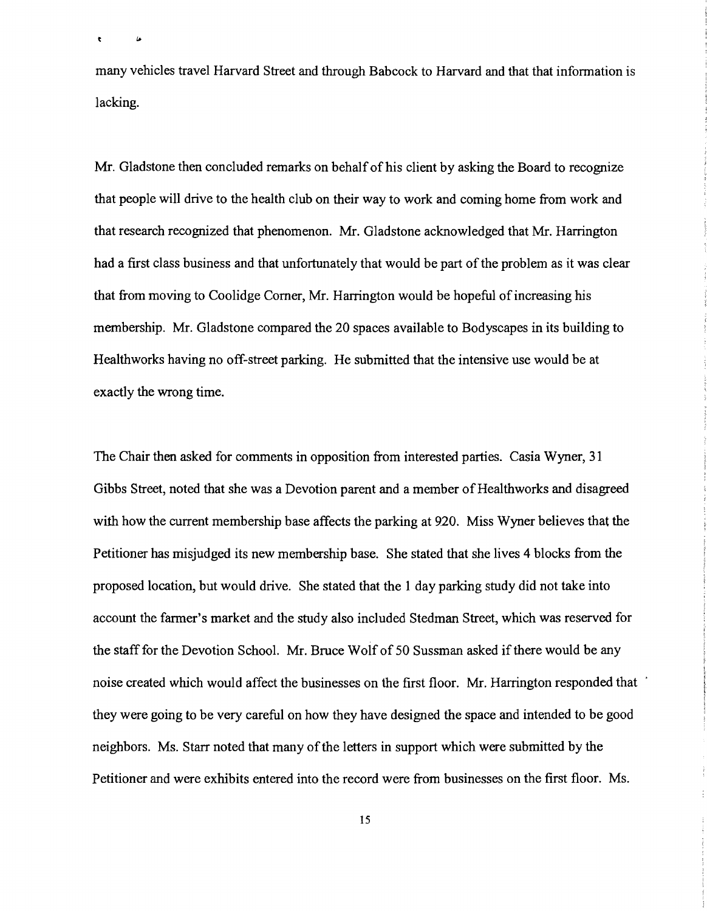many vehicles travel Harvard Street and through Babcock to Harvard and that that information is lacking.

 $\bullet$ 

 $\pmb{\omega}$ 

Mr. Gladstone then concluded remarks on behalfofhis client by asking the Board to recognize that people will drive to the health club on their way to work and coming home from work and that research recognized that phenomenon. Mr. Gladstone acknowledged that Mr. Harrington had a first class business and that unfortunately that would be part of the problem as it was clear that from moving to Coolidge Corner, Mr. Harrington would be hopeful of increasing his membership. Mr. Gladstone compared the 20 spaces available to Bodyscapes in its building to Healthworks having no off-street parking. He submitted that the intensive use would be at exactly the wrong time.

The Chair then asked for comments in opposition from interested parties. Casia Wyner, 31 Gibbs Street, noted that she was a Devotion parent and a member of Healthworks and disagreed with how the current membership base affects the parking at 920. Miss Wyner believes that the Petitioner has misjudged its new membership base. She stated that she lives 4 blocks from the proposed location, but would drive. She stated that the 1 day parking study did not take into account the farmer's market and the study also included Stedman Street, which was reserved for the staff for the Devotion School. Mr. Bruce Wolf of 50 Sussman asked if there would be any noise created which would affect the businesses on the first floor. Mr. Harrington responded that they were going to be very careful on how they have designed the space and intended to be good neighbors. Ms. Starr noted that many of the letters in support which were submitted by the Petitioner and were exhibits entered into the record were from businesses on the first floor. Ms.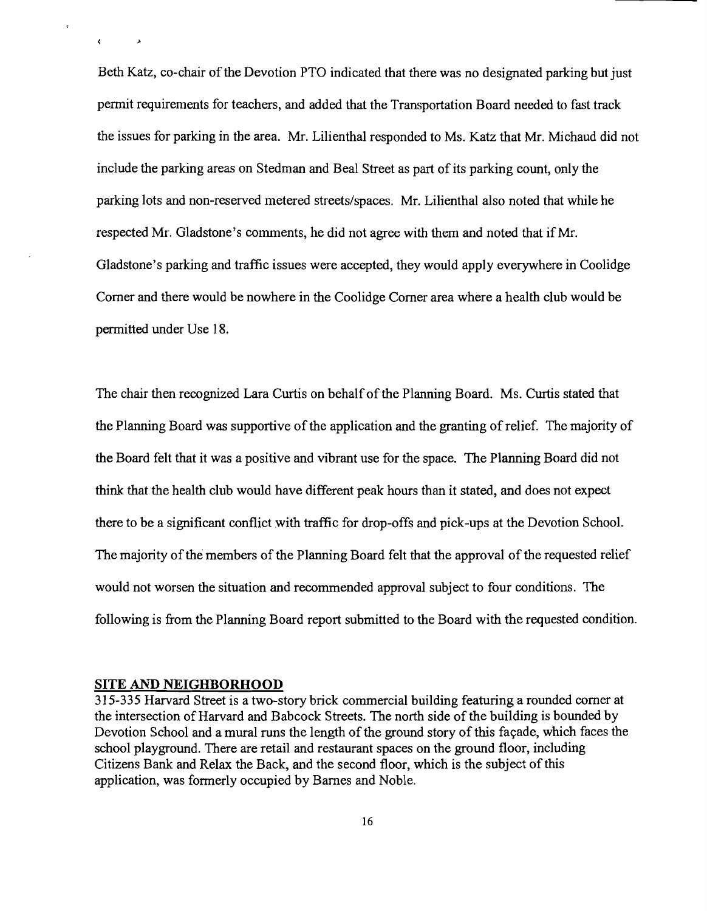Beth Katz, co-chair of the Devotion PTO indicated that there was no designated parking but just permit requirements for teachers, and added that the Transportation Board needed to fast track the issues for parking in the area. Mr. Lilienthal responded to Ms. Katz that Mr. Michaud did not include the parking areas on Stedman and Beal Street as part of its parking count, only the parking lots and non-reserved metered streets/spaces. Mr. Lilienthal also noted that while he respected Mr. Gladstone's comments, he did not agree with them and noted that if Mr. Gladstone's parking and traffic issues were accepted, they would apply everywhere in Coolidge Comer and there would be nowhere in the Coolidge Comer area where a health club would be permitted under Use 18.

The chair then recognized Lara Curtis on behalf of the Planning Board. Ms. Curtis stated that the Planning Board was supportive of the application and the granting of relief. The majority of the Board felt that it was a positive and vibrant use for the space. The Planning Board did not think that the health club would have different peak hours than it stated, and does not expect there to be a significant conflict with traffic for drop-offs and pick-ups at the Devotion School. The majority of the members of the Planning Board felt that the approval of the requested relief would not worsen the situation and recommended approval subject to four conditions. The following is from the Planning Board report submitted to the Board with the requested condition.

#### **SITE AND NEIGHBORHOOD**

 $\sqrt{2}$ 

315-335 Harvard Street is a two-story brick commercial building featuring a rounded comer at the intersection of Harvard and Babcock Streets. The north side of the building is bounded by Devotion School and a mural runs the length of the ground story of this façade, which faces the school playground. There are retail and restaurant spaces on the ground floor, including Citizens Bank and Relax the Back, and the second floor, which is the subject of this application, was formerly occupied by Barnes and Noble.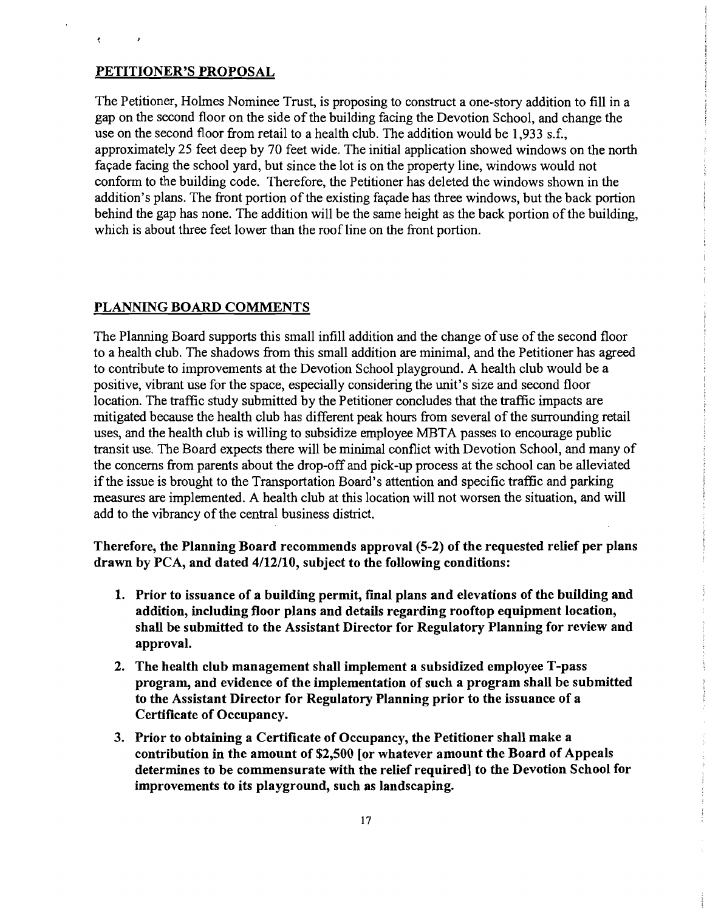#### PETITIONER'S PROPOSAL

 $\epsilon$ 

 $\lambda$ 

The Petitioner, Holmes Nominee Trust, is proposing to construct a one-story addition to fill in a gap on the second floor on the side of the building facing the Devotion School, and change the use on the second floor from retail to a health club. The addition would be 1,933 s.f., approximately 25 feet deep by 70 feet wide. The initial application showed windows on the north façade facing the school yard, but since the lot is on the property line, windows would not conform to the building code. Therefore, the Petitioner has deleted the windows shown in the addition's plans. The front portion of the existing façade has three windows, but the back portion behind the gap has none. The addition will be the same height as the back portion of the building, which is about three feet lower than the roof line on the front portion.

#### PLANNING BOARD COMMENTS

The Planning Board supports this small infill addition and the change of use of the second floor to a health club. The shadows from this small addition are minimal, and the Petitioner has agreed to contribute to improvements at the Devotion School playground. A health club would be a positive, vibrant use for the space, especially considering the unit's size and second floor location. The traffic study submitted by the Petitioner concludes that the traffic impacts are mitigated because the health club has different peak hours from several of the surrounding retail uses, and the health club is willing to subsidize employee META passes to encourage public transit use. The Board expects there will be minimal conflict with Devotion School, and many of the concerns from parents about the drop-off and pick-up process at the school can be alleviated if the issue is brought to the Transportation Board's attention and specific traffic and parking measures are implemented. A health club at this location will not worsen the situation, and will add to the vibrancy of the central business district.

Therefore, the Planning Board recommends approval (5-2) of the requested relief per plans drawn by PCA, and dated 4/12/10, subject to the following conditions:

- 1. Prior to issuance of a building permit, final plans and elevations of the building and addition, including floor plans and details regarding rooftop equipment location, shall be submitted to the Assistant Director for Regulatory Planning for review and approval.
- 2. The health club management shall implement a subsidized employee T-pass program, and evidence of the implementation of such a program shall be submitted to the Assistant Director for Regulatory Planning prior to the issuance of a Certificate of Occupancy.
- 3. Prior to obtaining a Certificate of Occupancy, the Petitioner shall make a contribution in the amount of \$2,500 [or whatever amount the Board of Appeals determines to be commensurate with the relief required] to the Devotion School for improvements to its playground, such as landscaping.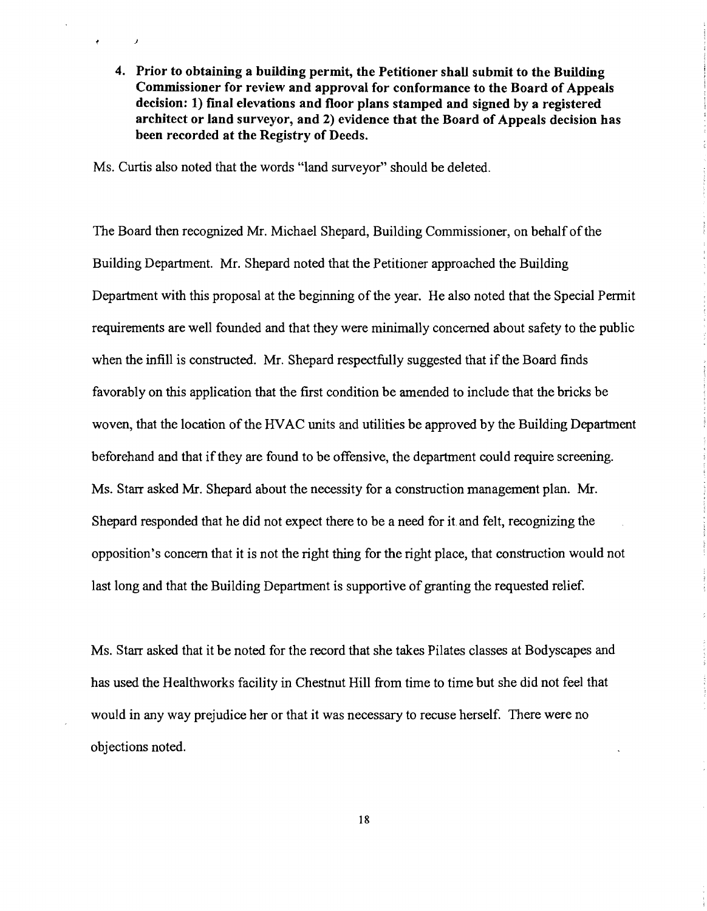4. Prior to obtaining a building permit, the Petitioner shall submit to the Building Commissioner for review and approval for conformance to the Board of Appeals decision: 1) fmal elevations and floor plans stamped and signed by a registered architect or land surveyor, and 2) evidence that the Board of Appeals decision has been recorded at the Registry of Deeds.

Ms. Curtis also noted that the words "land surveyor" should be deleted.

J

 $\bullet$ 

The Board then recognized Mr. Michael Shepard, Building Commissioner, on behalf of the Building Department. Mr. Shepard noted that the Petitioner approached the Building Department with this proposal at the beginning of the year. He also noted that the Special Permit requirements are well founded and that they were minimally concerned about safety to the public when the infill is constructed. Mr. Shepard respectfully suggested that if the Board finds favorably on this application that the first condition be amended to include that the bricks be woven, that the location of the HVAC units and utilities be approved by the Building Department beforehand and that if they are found to be offensive, the department could require screening. Ms. Starr asked Mr. Shepard about the necessity for a construction management plan. Mr. Shepard responded that he did not expect there to be a need for it and felt, recognizing the opposition's concern that it is not the right thing for the right place, that construction would not last long and that the Building Department is supportive of granting the requested relief.

Ms. Starr asked that it be noted for the record that she takes Pilates classes at Bodyscapes and has used the Healthworks facility in Chestnut Hill from time to time but she did not feel that would in any way prejudice her or that it was necessary to recuse herself. There were no objections noted.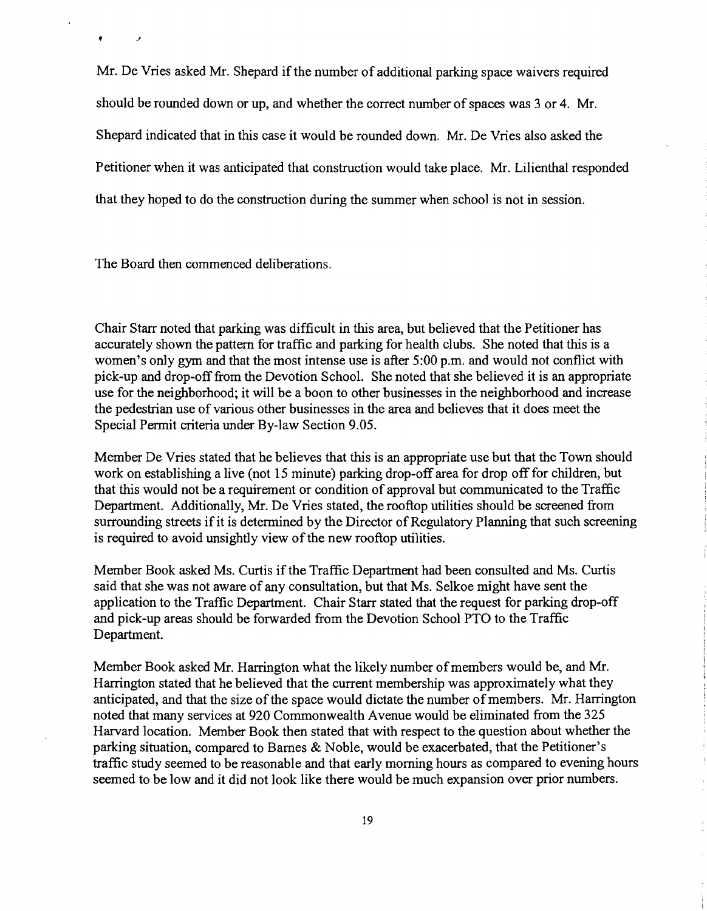Mr. De Vries asked Mr. Shepard if the number of additional parking space waivers required should be rounded down or up, and whether the correct number of spaces was 3 or 4. Mr. Shepard indicated that in this case it would be rounded down. Mr. De Vries also asked the Petitioner when it was anticipated that construction would take place. Mr. Lilienthal responded that they hoped to do the construction during the summer when school is not in session.

The Board then commenced deliberations.

t J

Chair Starr noted that parking was difficult in this area, but believed that the Petitioner has accurately shown the pattern for traffic and parking for health clubs. She noted that this is a women's only gym and that the most intense use is after 5:00 p.m. and would not conflict with pick-up and drop-off from the Devotion School. She noted that she believed it is an appropriate use for the neighborhood; it will be a boon to other businesses in the neighborhood and increase the pedestrian use of various other businesses in the area and believes that it does meet the Special Permit criteria under By-law Section 9.05.

Member De Vries stated that he believes that this is an appropriate use but that the Town should work on establishing a live (not 15 minute) parking drop-off area for drop off for children, but that this would not be a requirement or condition of approval but communicated to the Traffic Department. Additionally, Mr. De Vries stated, the rooftop utilities should be screened from surrounding streets if it is determined by the Director of Regulatory Planning that such screening is required to avoid unsightly view of the new rooftop utilities.

Member Book asked Ms. Curtis if the Traffic Department had been consulted and Ms. Curtis said that she was not aware of any consultation, but that Ms. Selkoe might have sent the application to the Traffic Department. Chair Starr stated that the request for parking drop-off and pick-up areas should be forwarded from the Devotion School PTO to the Traffic Department.

Member Book asked Mr. Harrington what the likely number of members would be, and Mr. Harrington stated that he believed that the current membership was approximately what they anticipated, and that the size of the space would dictate the number of members. Mr. Harrington noted that many services at 920 Commonwealth Avenue would be eliminated from the 325 Harvard location. Member Book then stated that with respect to the question about whether the parking situation, compared to Barnes & Noble, would be exacerbated, that the Petitioner's traffic study seemed to be reasonable and that early morning hours as compared to evening hours seemed to be low and it did not look like there would be much expansion over prior numbers.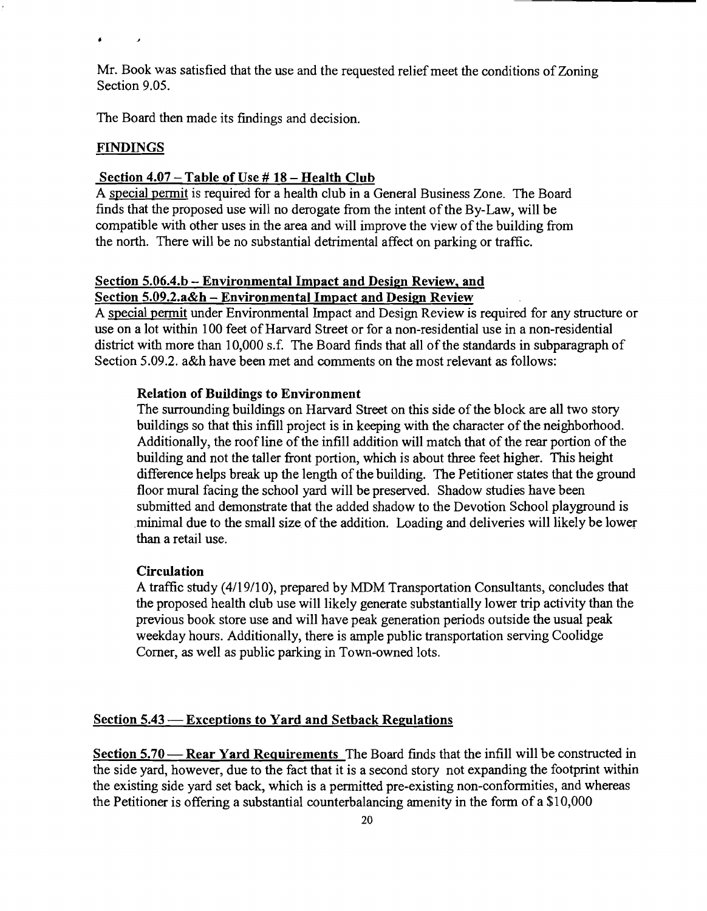Mr. Book was satisfied that the use and the requested relief meet the conditions of Zoning Section 9.05.

The Board then made its findings and decision.

## FINDINGS

 $\overline{1}$ 

 $\bullet$ 

## Section  $4.07 -$  Table of Use # 18 - Health Club

A special pennit is required for a health club in a General Business Zone. The Board finds that the proposed use will no derogate from the intent of the By-Law, will be compatible with other uses in the area and will improve the view of the building from the north. There will be no substantial detrimental affect on parking or traffic.

# Section 5.06.4.b - Environmental Impact and Design Review, and Section 5.09.2.a&h - Environmental Impact and Design Review

A special permit under Environmental Impact and Design Review is required for any structure or use on a lot within 100 feet of Harvard Street or for a non-residential use in a non-residential district with more than 10,000 s.f. The Board finds that all of the standards in subparagraph of Section 5.09.2. a&h have been met and comments on the most relevant as follows:

## Relation of Buildings to Environment

The surrounding buildings on Harvard Street on this side of the block are all two story buildings so that this infill project is in keeping with the character of the neighborhood. Additionally, the roof line of the infill addition will match that of the rear portion of the building and not the taller front portion, which is about three feet higher. This height difference helps break up the length of the building. The Petitioner states that the ground floor mural facing the school yard will be preserved. Shadow studies have been submitted and demonstrate that the added shadow to the Devotion School playground is minimal due to the small size of the addition. Loading and deliveries will likely be lower than a retail use.

## **Circulation**

A traffic study (4/19/10), prepared by MDM Transportation Consultants, concludes that the proposed health club use will likely generate substantially lower trip activity than the previous book store use and will have peak generation periods outside the usual peak weekday hours. Additionally, there is ample public transportation serving Coolidge Comer, as well as public parking in Town-owned lots.

## Section 5.43 - Exceptions to Yard and Setback Regulations

Section 5.70 - Rear Yard Requirements The Board finds that the infill will be constructed in the side yard, however, due to the fact that it is a second story not expanding the footprint within the existing side yard set back, which is a permitted pre-existing non-conformities, and whereas the Petitioner is offering a substantial counterbalancing amenity in the form of a \$10,000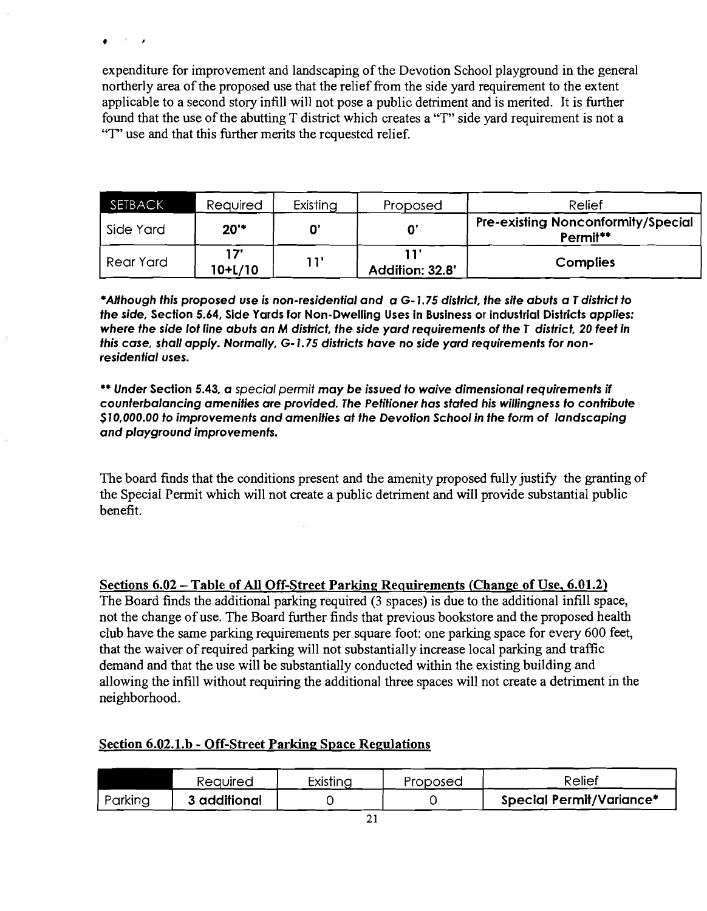•

expenditure for improvement and landscaping of the Devotion School playground in the general northerly area of the proposed use that the relief from the side yard requirement to the extent applicable to a second story infill will not pose a public detriment and is merited. It is further found that the use of the abutting T district which creates a "T" side yard requirement is not a "T" use and that this further merits the requested relief.

| <b>SETBACK</b> | Required        | Existing | Proposed        | Relief                                                |
|----------------|-----------------|----------|-----------------|-------------------------------------------------------|
| Side Yard      | 20"             |          |                 | <b>Pre-existing Nonconformity/Special</b><br>Permit** |
| Rear Yard      | יל 1<br>10+L/10 | י 1 ו    | Addition: 32.8' | <b>Complies</b>                                       |

·Although this proposed use is non-residential and a G-1.75 district. the site abuts a Tdistrict to the side, Section 5.64, Side Yards for Non-Dwelling Uses In Business or Industrial Districts applies: where the side lot line abuts an M district. the side yard requirements of the T district. 20 feet in this case, shall apply. Normally, G-1. 75 districts have no side yard requirements for nonresidential uses.

•• Under Section 5.43, a special permit may be issued to waive dimensional requirements if counterbalancing amenities are provided. The Petitioner has stated his willingness to contribute \$10.000.00 to improvements and amenities at the Devotion School in the form of landscaping and playground improvements.

The board finds that the conditions present and the amenity proposed fully justify the granting of the Special Permit which will not create a public detriment and will provide substantial public benefit.

## Sections 6.02 - Table of All Off-Street Parking Requirements (Change of Use, 6.01.2)

The Board finds the additional parking required (3 spaces) is due to the additional infill space, not the change of use. The Board further finds that previous bookstore and the proposed health club have the same parking requirements per square foot: one parking space for every 600 feet, that the waiver of required parking will not substantially increase local parking and traffic demand and that the use will be substantially conducted within the existing building and allowing the infill without requiring the additional three spaces will not create a detriment in the neighborhood.

## Section 6.02.1.b - Off-Street Parking Space Regulations

|         | Required     | Existing | Proposed | Relief                          |
|---------|--------------|----------|----------|---------------------------------|
| Parking | 3 additional |          |          | <b>Special Permit/Variance*</b> |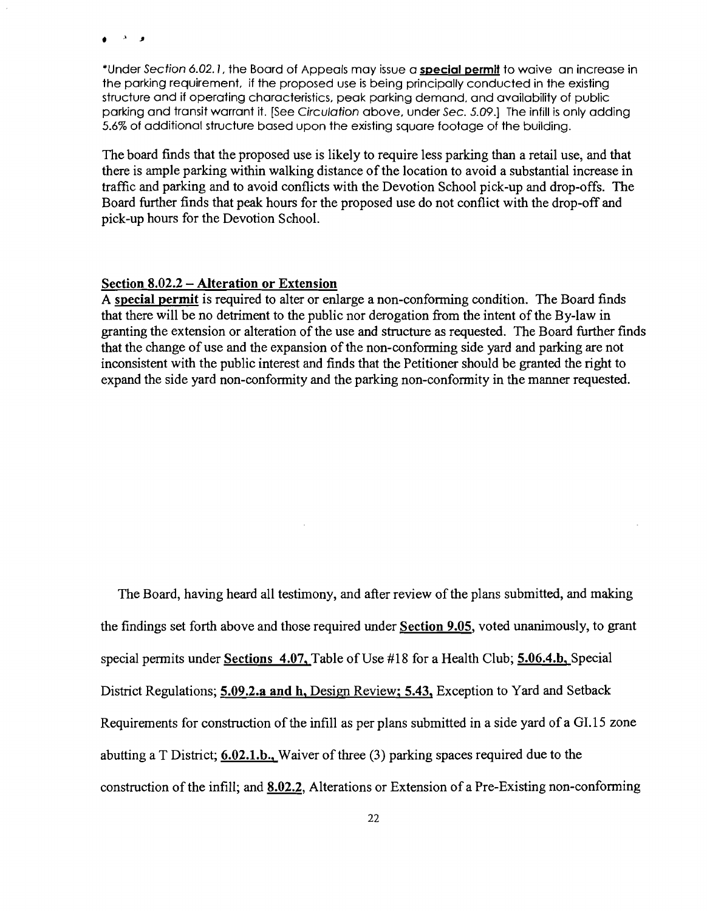وأداد

\*Under Section 6.02.1, the Board of Appeals may issue a special permit to waive an increase in the parking requirement, if the proposed use is being principally conducted in the existing structure and if operating characteristics, peak parking demand. and availability of public parking and transit warrant it. [See Circulation above, under Sec. 5.09.] The infill is only adding 5.6% of additional structure based upon the existing square footage of the building.

The board finds that the proposed use is likely to require less parking than a retail use, and that there is ample parking within walking distance of the location to avoid a substantial increase in traffic and parking and to avoid conflicts with the Devotion School pick-up and drop-offs. The Board further finds that peak hours for the proposed use do not conflict with the drop-off and pick-up hours for the Devotion School.

#### Section 8.02.2 - Alteration or Extension

A special permit is required to alter or enlarge a non-conforming condition. The Board finds that there will be no detriment to the public nor derogation from the intent of the By-law in granting the extension or alteration of the use and structure as requested. The Board further finds that the change of use and the expansion of the non-conforming side yard and parking are not inconsistent with the public interest and finds that the Petitioner should be granted the right to expand the side yard non-conformity and the parking non-conformity in the manner requested.

The Board, having heard all testimony, and after review of the plans submitted, and making the findings set forth above and those required under Section 9.05, voted unanimously, to grant special permits under Sections 4.07, Table of Use #18 for a Health Club; 5.06.4.b, Special District Regulations; 5.09.2.a and h, Design Review; 5.43, Exception to Yard and Setback Requirements for construction of the infill as per plans submitted in a side yard of a GI.15 zone abutting a T District; 6.02.l.b., Waiver of three (3) parking spaces required due to the construction of the infill; and 8.02.2, Alterations or Extension of a Pre-Existing non-conforming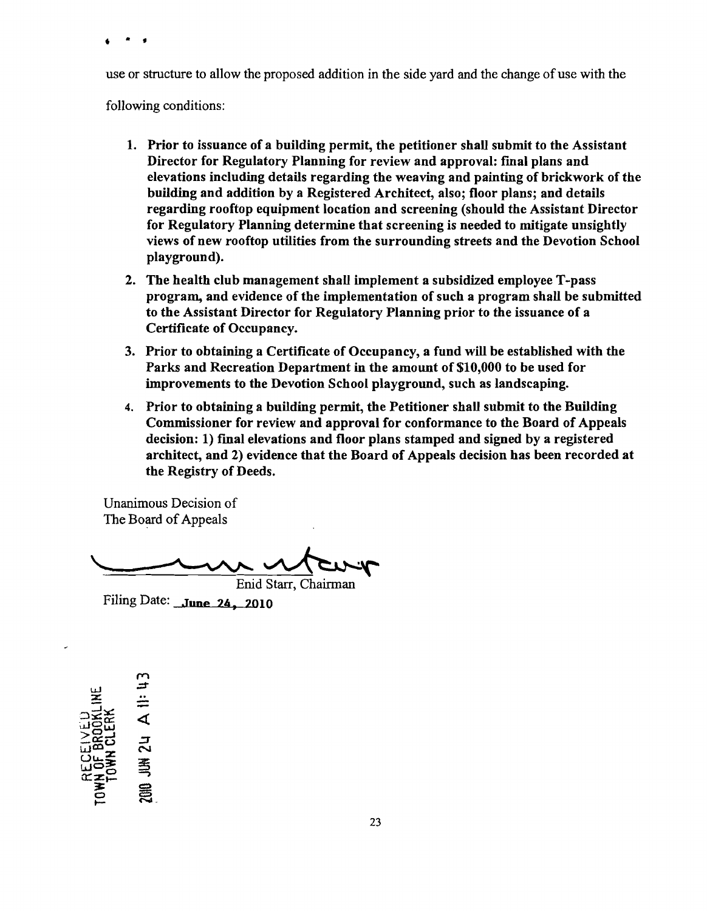• • •

use or structure to allow the proposed addition in the side yard and the change of use with the

following conditions:

- 1. Prior to issuance of a building permit, the petitioner shall submit to the Assistant Director for Regulatory Planning for review and approval: fmal plans and elevations including details regarding the weaving and painting of brickwork of the building and addition by a Registered Architect, also; floor plans; and details regarding rooftop equipment location and screening (should the Assistant Director for Regulatory Planning determine that screening is needed to mitigate unsightly views of new rooftop utilities from the surrounding streets and the Devotion School playground).
- 2. The health club management shall implement a subsidized employee T-pass program, and evidence of the implementation of such a program shall be submitted to the Assistant Director for Regulatory Planning prior to the issuance of a Certificate of Occupancy.
- 3. Prior to obtaining a Certificate of Occupancy, a fund will be established with the Parks and Recreation Department in the amount of \$10,000 to be used for improvements to the Devotion School playground, such as landscaping.
- 4. Prior to obtaining a building permit, the Petitioner shall submit to the Building Commissioner for review and approval for conformance to the Board of Appeals decision: 1) fmal elevations and floor plans stamped and signed by a registered architect, and 2) evidence that the Board of Appeals decision has been recorded at the Registry of Deeds.

Unanimous Decision of The Board of Appeals

mentario Enid Starr, Chairman

Filing Date: June 24, 2010

 $\sim$ .:;j" w  $\pmb{z}$ EL)<br>JOKLINE<br>ERK<br>A II: I  $\Xi$ gy  $\Xi$ ಹೆರ ನ  $\overline{\mathbf{C}}$ u.  $\mathbb{E}$ <br> $\mathbb{E}$ <br> $\mathbb{E}$ <br> $\mathbb{E}$ <br> $\mathbb{E}$ <br> $\mathbb{E}$ <br> $\mathbb{E}$ ह<br>5 ⊜  $2^{\circ}$  ដ